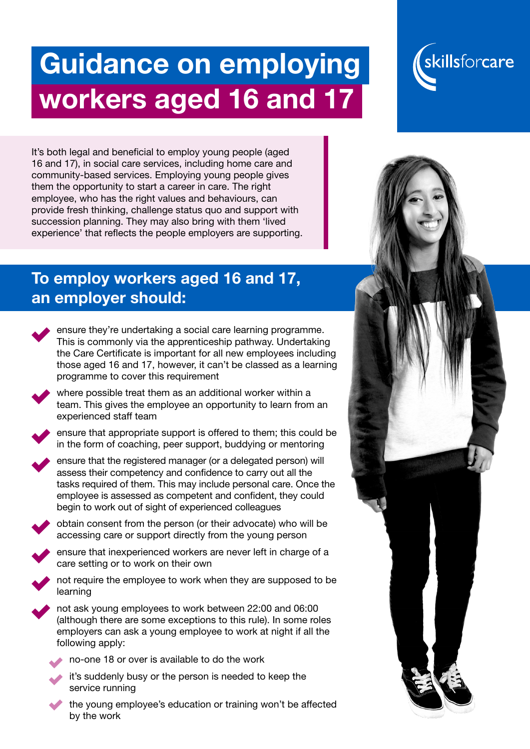## Guidance on employing workers aged 16 and 17



It's both legal and beneficial to employ young people (aged 16 and 17), in social care services, including home care and community-based services. Employing young people gives them the opportunity to start a career in care. The right employee, who has the right values and behaviours, can provide fresh thinking, challenge status quo and support with succession planning. They may also bring with them 'lived experience' that reflects the people employers are supporting.

## To employ workers aged 16 and 17, an employer should:



ensure they're undertaking a social care learning programme. This is commonly via the apprenticeship pathway. Undertaking the Care Certificate is important for all new employees including those aged 16 and 17, however, it can't be classed as a learning programme to cover this requirement





ensure that appropriate support is offered to them; this could be in the form of coaching, peer support, buddying or mentoring

ensure that the registered manager (or a delegated person) will assess their competency and confidence to carry out all the tasks required of them. This may include personal care. Once the employee is assessed as competent and confident, they could begin to work out of sight of experienced colleagues



ensure that inexperienced workers are never left in charge of a care setting or to work on their own





- no-one 18 or over is available to do the work
- it's suddenly busy or the person is needed to keep the service running
- the young employee's education or training won't be affected by the work